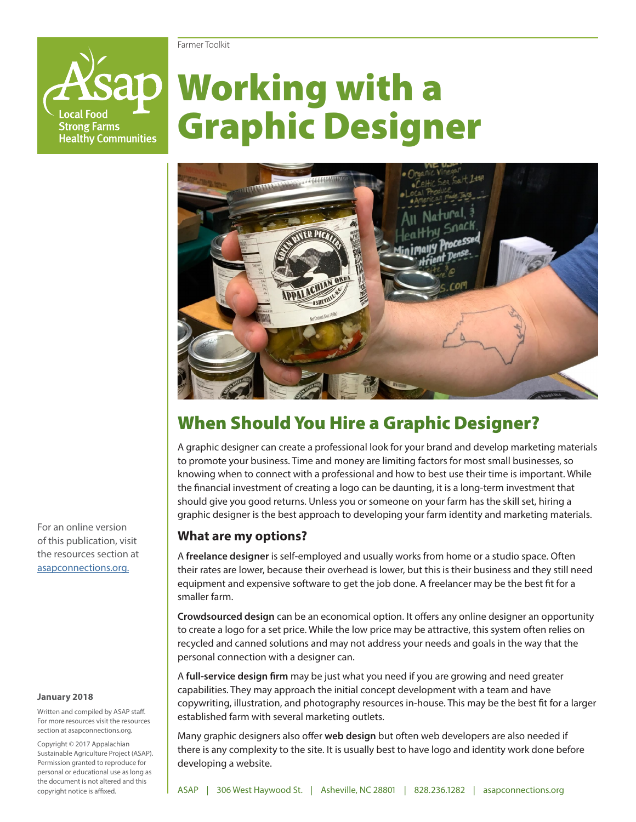#### Farmer Toolkit

ocal Food **Strong Farms Healthy Communities** 

# Working with a Graphic Designer



# When Should You Hire a Graphic Designer?

A graphic designer can create a professional look for your brand and develop marketing materials to promote your business. Time and money are limiting factors for most small businesses, so knowing when to connect with a professional and how to best use their time is important. While the financial investment of creating a logo can be daunting, it is a long-term investment that should give you good returns. Unless you or someone on your farm has the skill set, hiring a graphic designer is the best approach to developing your farm identity and marketing materials.

#### **What are my options?**

A **freelance designer** is self-employed and usually works from home or a studio space. Often their rates are lower, because their overhead is lower, but this is their business and they still need equipment and expensive software to get the job done. A freelancer may be the best fit for a smaller farm.

**Crowdsourced design** can be an economical option. It offers any online designer an opportunity to create a logo for a set price. While the low price may be attractive, this system often relies on recycled and canned solutions and may not address your needs and goals in the way that the personal connection with a designer can.

A **full-service design firm** may be just what you need if you are growing and need greater capabilities. They may approach the initial concept development with a team and have copywriting, illustration, and photography resources in-house. This may be the best fit for a larger established farm with several marketing outlets.

Many graphic designers also offer **web design** but often web developers are also needed if there is any complexity to the site. It is usually best to have logo and identity work done before developing a website.

For an online version of this publication, visit the resources section at [asapconnections.org.](http://asapconnections.org/)

#### **January 2018**

Written and compiled by ASAP staff. For more resources visit the resources section at asapconnections.org.

Copyright © 2017 Appalachian Sustainable Agriculture Project (ASAP). Permission granted to reproduce for personal or educational use as long as the document is not altered and this copyright notice is affixed.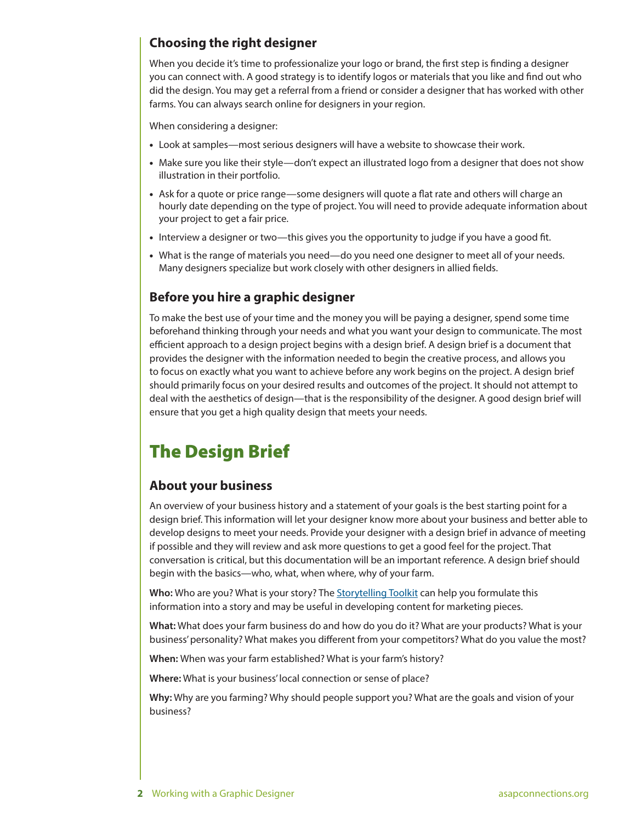#### **Choosing the right designer**

When you decide it's time to professionalize your logo or brand, the first step is finding a designer you can connect with. A good strategy is to identify logos or materials that you like and find out who did the design. You may get a referral from a friend or consider a designer that has worked with other farms. You can always search online for designers in your region.

When considering a designer:

- Look at samples—most serious designers will have a website to showcase their work.
- Make sure you like their style—don't expect an illustrated logo from a designer that does not show illustration in their portfolio.
- Ask for a quote or price range—some designers will quote a flat rate and others will charge an hourly date depending on the type of project. You will need to provide adequate information about your project to get a fair price.
- Interview a designer or two—this gives you the opportunity to judge if you have a good fit.
- What is the range of materials you need—do you need one designer to meet all of your needs. Many designers specialize but work closely with other designers in allied fields.

#### **Before you hire a graphic designer**

To make the best use of your time and the money you will be paying a designer, spend some time beforehand thinking through your needs and what you want your design to communicate. The most efficient approach to a design project begins with a design brief. A design brief is a document that provides the designer with the information needed to begin the creative process, and allows you to focus on exactly what you want to achieve before any work begins on the project. A design brief should primarily focus on your desired results and outcomes of the project. It should not attempt to deal with the aesthetics of design—that is the responsibility of the designer. A good design brief will ensure that you get a high quality design that meets your needs.

# The Design Brief

#### **About your business**

An overview of your business history and a statement of your goals is the best starting point for a design brief. This information will let your designer know more about your business and better able to develop designs to meet your needs. Provide your designer with a design brief in advance of meeting if possible and they will review and ask more questions to get a good feel for the project. That conversation is critical, but this documentation will be an important reference. A design brief should begin with the basics—who, what, when where, why of your farm.

**Who:** Who are you? What is your story? The [Storytelling Toolkit](https://drive.google.com/file/d/1GUpxlAGT2T4evf9xz9SzgHLSnf4F0eWz/view) can help you formulate this information into a story and may be useful in developing content for marketing pieces.

**What:** What does your farm business do and how do you do it? What are your products? What is your business' personality? What makes you different from your competitors? What do you value the most?

**When:** When was your farm established? What is your farm's history?

**Where:** What is your business' local connection or sense of place?

**Why:** Why are you farming? Why should people support you? What are the goals and vision of your business?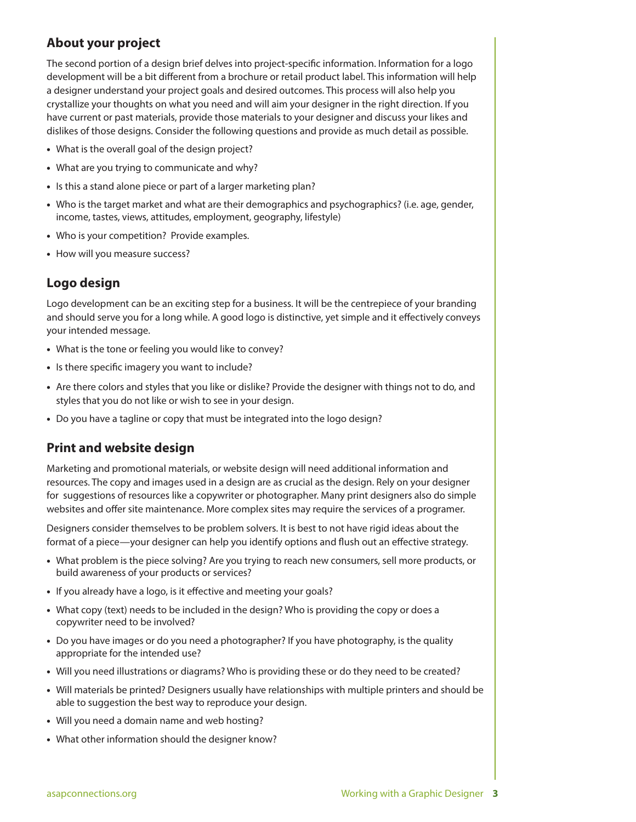#### **About your project**

The second portion of a design brief delves into project-specific information. Information for a logo development will be a bit different from a brochure or retail product label. This information will help a designer understand your project goals and desired outcomes. This process will also help you crystallize your thoughts on what you need and will aim your designer in the right direction. If you have current or past materials, provide those materials to your designer and discuss your likes and dislikes of those designs. Consider the following questions and provide as much detail as possible.

- What is the overall goal of the design project?
- What are you trying to communicate and why?
- Is this a stand alone piece or part of a larger marketing plan?
- Who is the target market and what are their demographics and psychographics? (i.e. age, gender, income, tastes, views, attitudes, employment, geography, lifestyle)
- Who is your competition? Provide examples.
- How will you measure success?

#### **Logo design**

Logo development can be an exciting step for a business. It will be the centrepiece of your branding and should serve you for a long while. A good logo is distinctive, yet simple and it effectively conveys your intended message.

- What is the tone or feeling you would like to convey?
- Is there specific imagery you want to include?
- Are there colors and styles that you like or dislike? Provide the designer with things not to do, and styles that you do not like or wish to see in your design.
- Do you have a tagline or copy that must be integrated into the logo design?

#### **Print and website design**

Marketing and promotional materials, or website design will need additional information and resources. The copy and images used in a design are as crucial as the design. Rely on your designer for suggestions of resources like a copywriter or photographer. Many print designers also do simple websites and offer site maintenance. More complex sites may require the services of a programer.

Designers consider themselves to be problem solvers. It is best to not have rigid ideas about the format of a piece—your designer can help you identify options and flush out an effective strategy.

- What problem is the piece solving? Are you trying to reach new consumers, sell more products, or build awareness of your products or services?
- If you already have a logo, is it effective and meeting your goals?
- What copy (text) needs to be included in the design? Who is providing the copy or does a copywriter need to be involved?
- Do you have images or do you need a photographer? If you have photography, is the quality appropriate for the intended use?
- Will you need illustrations or diagrams? Who is providing these or do they need to be created?
- Will materials be printed? Designers usually have relationships with multiple printers and should be able to suggestion the best way to reproduce your design.
- Will you need a domain name and web hosting?
- What other information should the designer know?